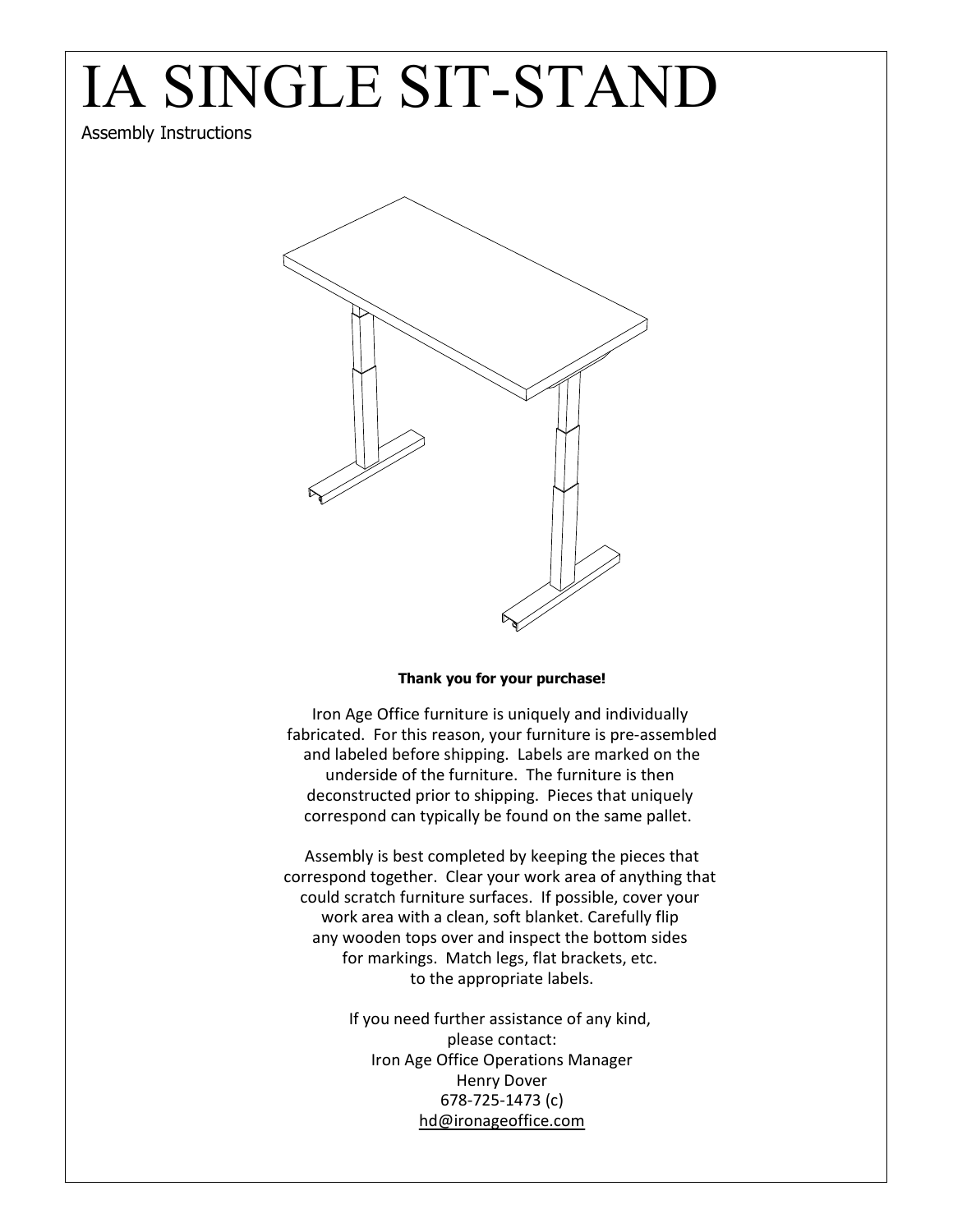## IA SINGLE SIT-STAND

Assembly Instructions



#### Thank you for your purchase!

Iron Age Office furniture is uniquely and individually fabricated. For this reason, your furniture is pre-assembled and labeled before shipping. Labels are marked on the underside of the furniture. The furniture is then deconstructed prior to shipping. Pieces that uniquely correspond can typically be found on the same pallet.

Assembly is best completed by keeping the pieces that correspond together. Clear your work area of anything that could scratch furniture surfaces. If possible, cover your work area with a clean, soft blanket. Carefully flip any wooden tops over and inspect the bottom sides for markings. Match legs, flat brackets, etc. to the appropriate labels.

> If you need further assistance of any kind, please contact: Iron Age Office Operations Manager Henry Dover 678-725-1473 (c) hd@ironageoffice.com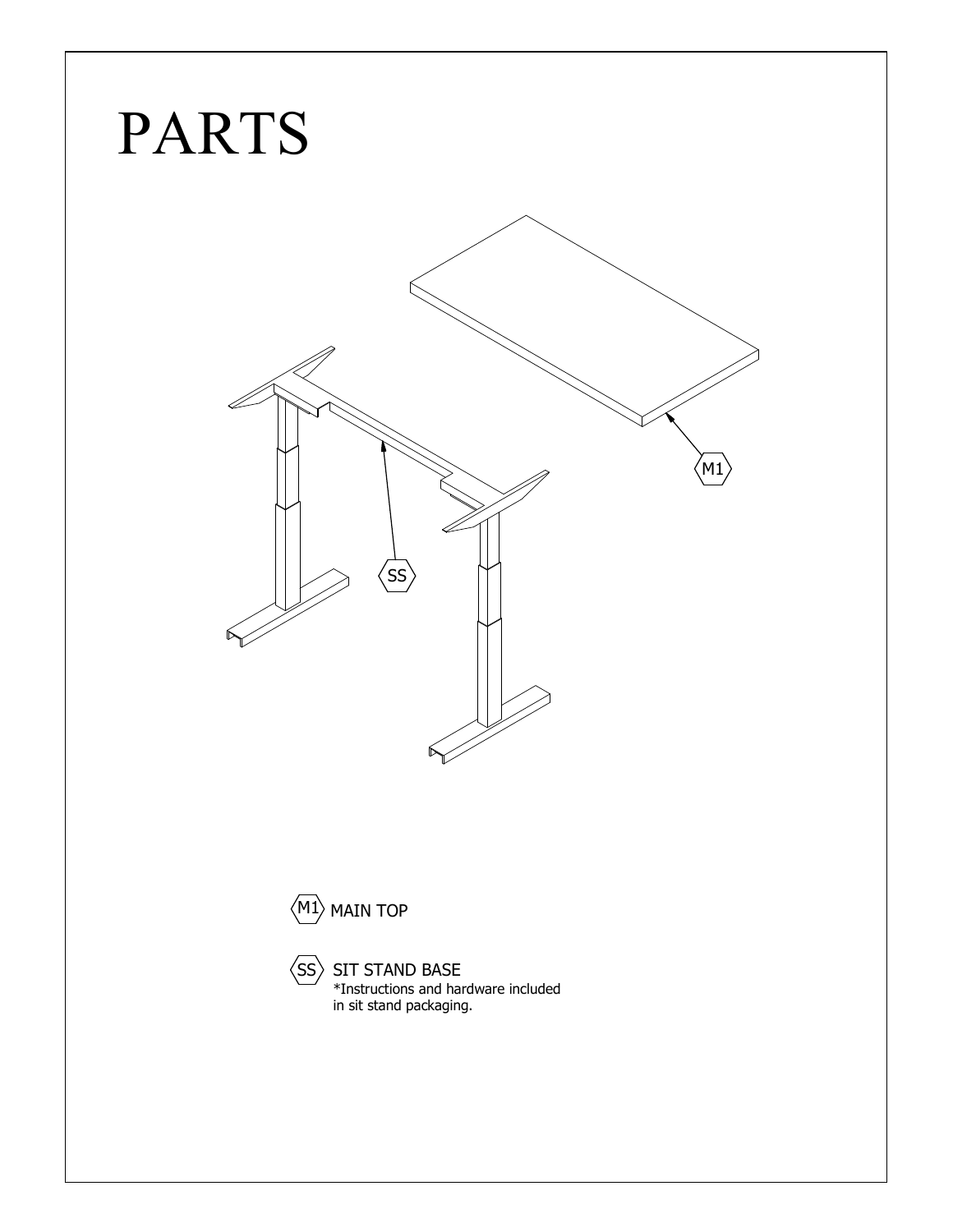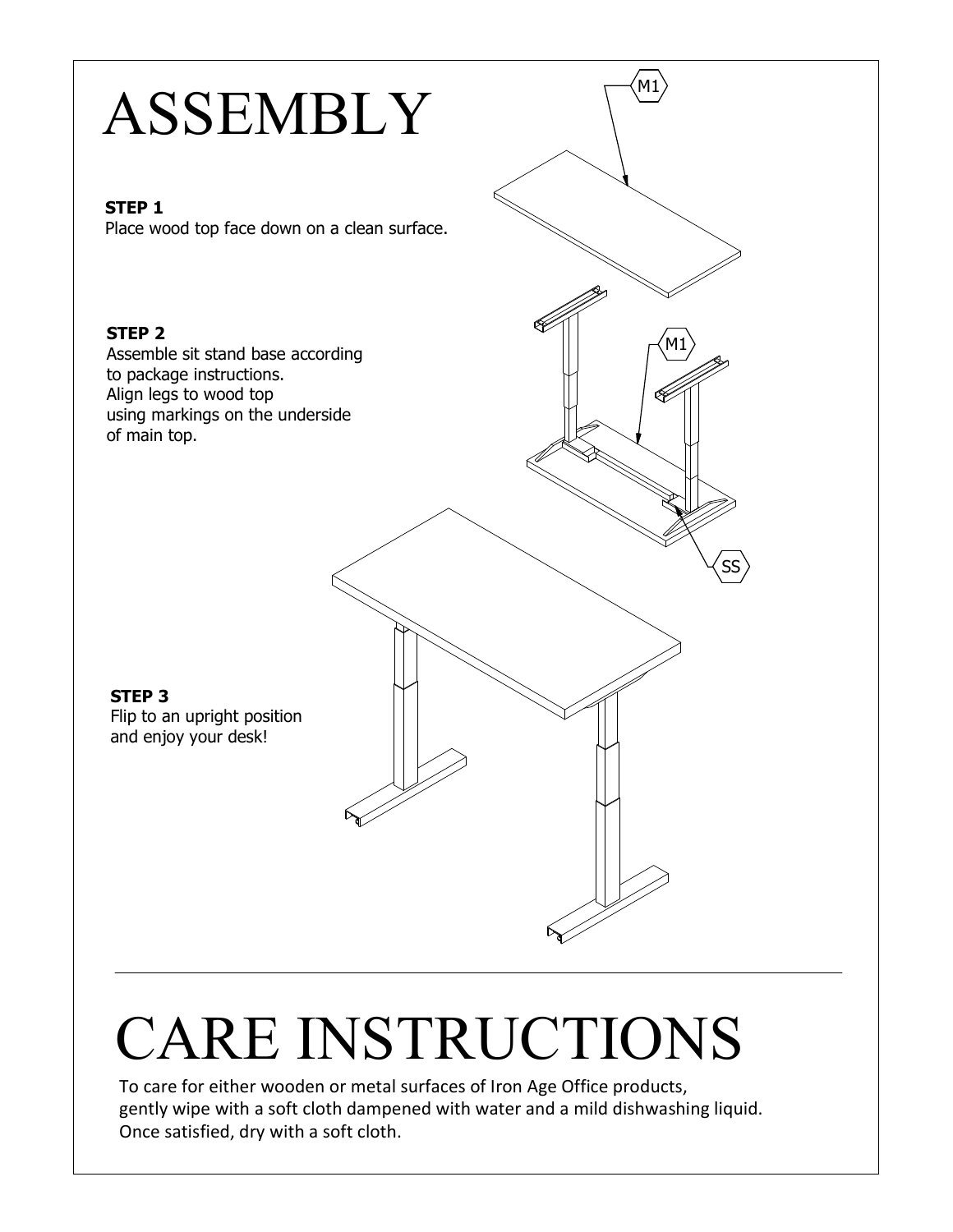

# CARE INSTRUCTIONS

To care for either wooden or metal surfaces of Iron Age Office products, gently wipe with a soft cloth dampened with water and a mild dishwashing liquid. Once satisfied, dry with a soft cloth.